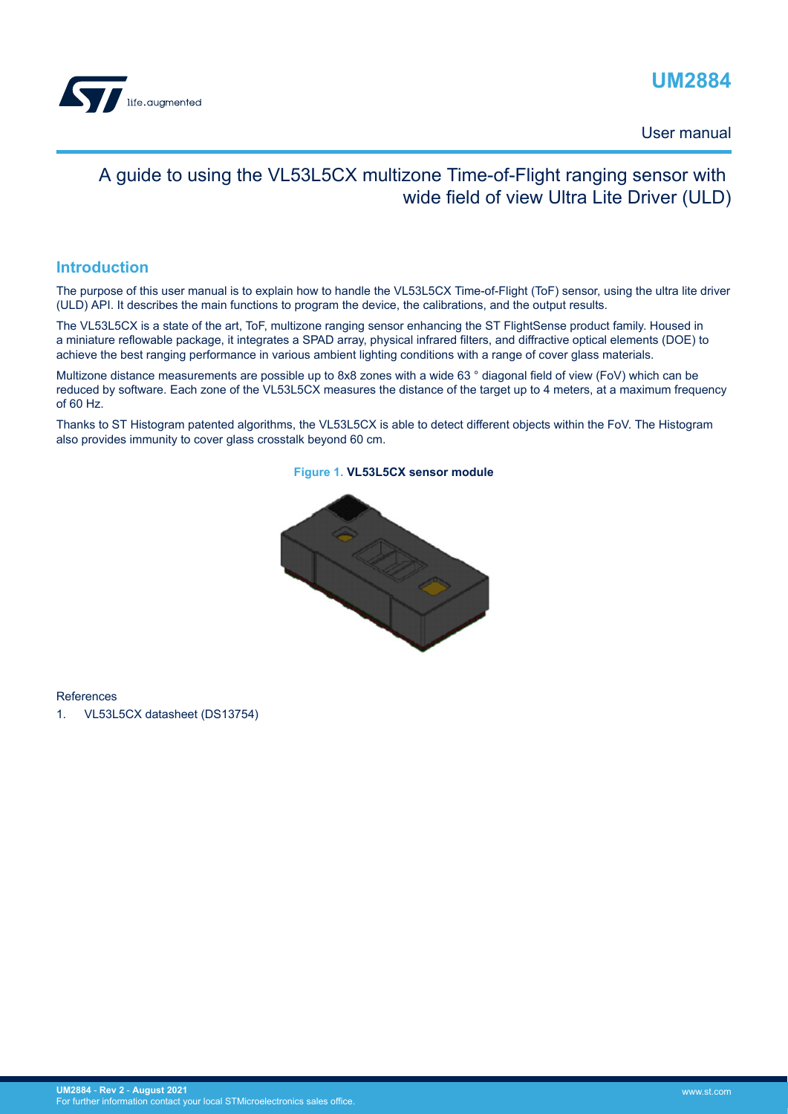

### **UM2884**

User manual

### A guide to using the VL53L5CX multizone Time-of-Flight ranging sensor with wide field of view Ultra Lite Driver (ULD)

#### **Introduction**

The purpose of this user manual is to explain how to handle the VL53L5CX Time-of-Flight (ToF) sensor, using the ultra lite driver (ULD) API. It describes the main functions to program the device, the calibrations, and the output results.

The VL53L5CX is a state of the art, ToF, multizone ranging sensor enhancing the ST FlightSense product family. Housed in a miniature reflowable package, it integrates a SPAD array, physical infrared filters, and diffractive optical elements (DOE) to achieve the best ranging performance in various ambient lighting conditions with a range of cover glass materials.

Multizone distance measurements are possible up to 8x8 zones with a wide 63 ° diagonal field of view (FoV) which can be reduced by software. Each zone of the VL53L5CX measures the distance of the target up to 4 meters, at a maximum frequency of 60 Hz.

Thanks to ST Histogram patented algorithms, the VL53L5CX is able to detect different objects within the FoV. The Histogram also provides immunity to cover glass crosstalk beyond 60 cm.



#### **Figure 1. VL53L5CX sensor module**

References

1. VL53L5CX datasheet (DS13754)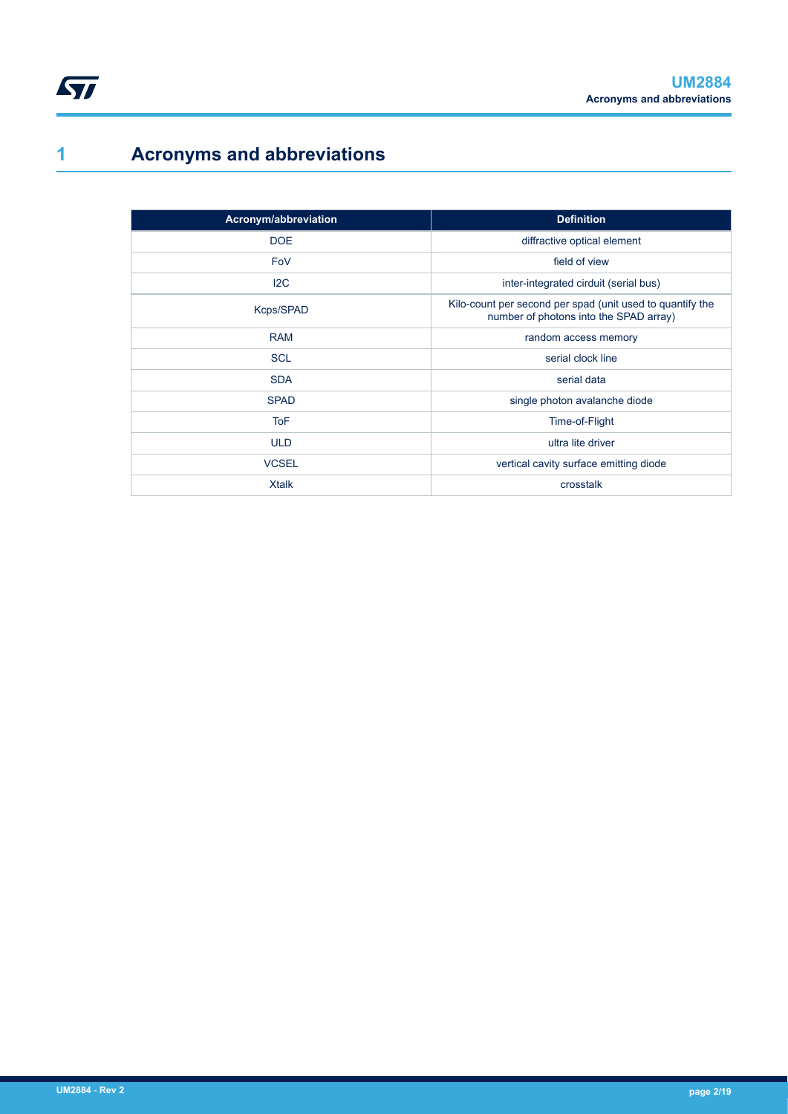## **1 Acronyms and abbreviations**

<span id="page-1-0"></span> $\sqrt{1}$ 

| Acronym/abbreviation | <b>Definition</b>                                                                                   |
|----------------------|-----------------------------------------------------------------------------------------------------|
| <b>DOE</b>           | diffractive optical element                                                                         |
| FoV                  | field of view                                                                                       |
| 12C                  | inter-integrated cirduit (serial bus)                                                               |
| Kcps/SPAD            | Kilo-count per second per spad (unit used to quantify the<br>number of photons into the SPAD array) |
| <b>RAM</b>           | random access memory                                                                                |
| <b>SCL</b>           | serial clock line                                                                                   |
| <b>SDA</b>           | serial data                                                                                         |
| <b>SPAD</b>          | single photon avalanche diode                                                                       |
| <b>ToF</b>           | Time-of-Flight                                                                                      |
| <b>ULD</b>           | ultra lite driver                                                                                   |
| <b>VCSEL</b>         | vertical cavity surface emitting diode                                                              |
| <b>Xtalk</b>         | crosstalk                                                                                           |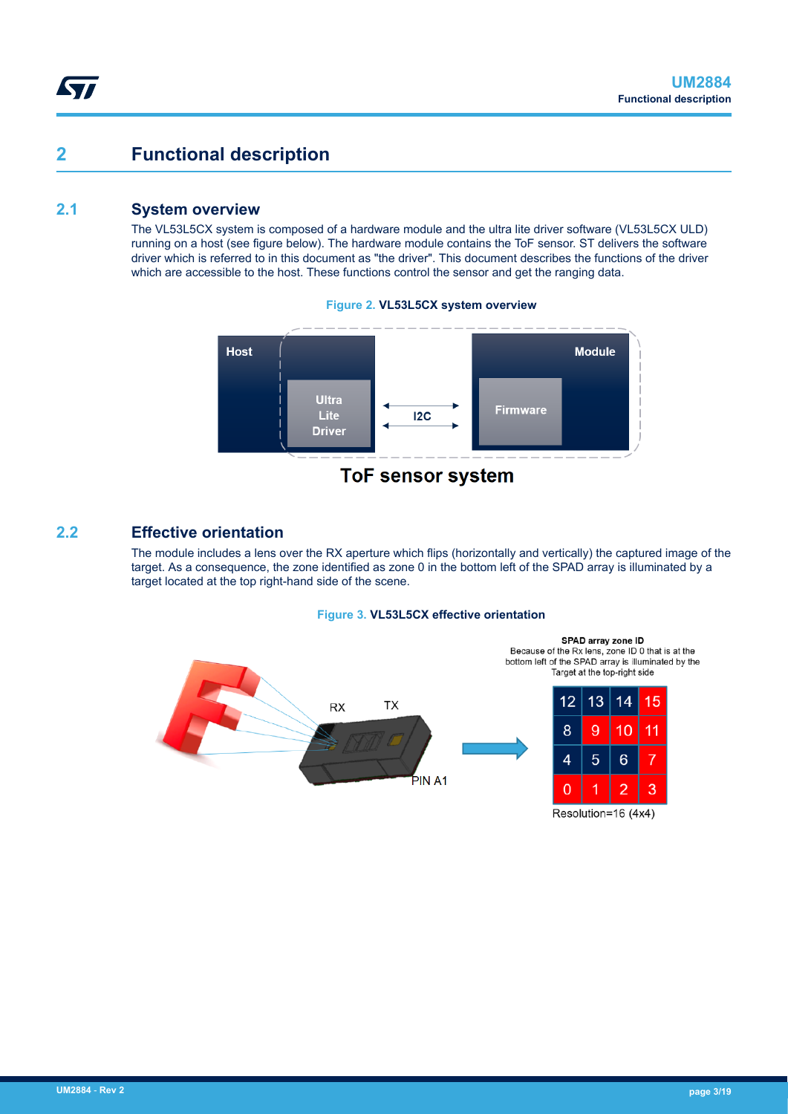### <span id="page-2-0"></span>**2 Functional description**

#### **2.1 System overview**

The VL53L5CX system is composed of a hardware module and the ultra lite driver software (VL53L5CX ULD) running on a host (see figure below). The hardware module contains the ToF sensor. ST delivers the software driver which is referred to in this document as "the driver". This document describes the functions of the driver which are accessible to the host. These functions control the sensor and get the ranging data.



#### **Figure 2. VL53L5CX system overview**

#### **2.2 Effective orientation**

The module includes a lens over the RX aperture which flips (horizontally and vertically) the captured image of the target. As a consequence, the zone identified as zone 0 in the bottom left of the SPAD array is illuminated by a target located at the top right-hand side of the scene.

#### **Figure 3. VL53L5CX effective orientation**



Resolution=16 (4x4)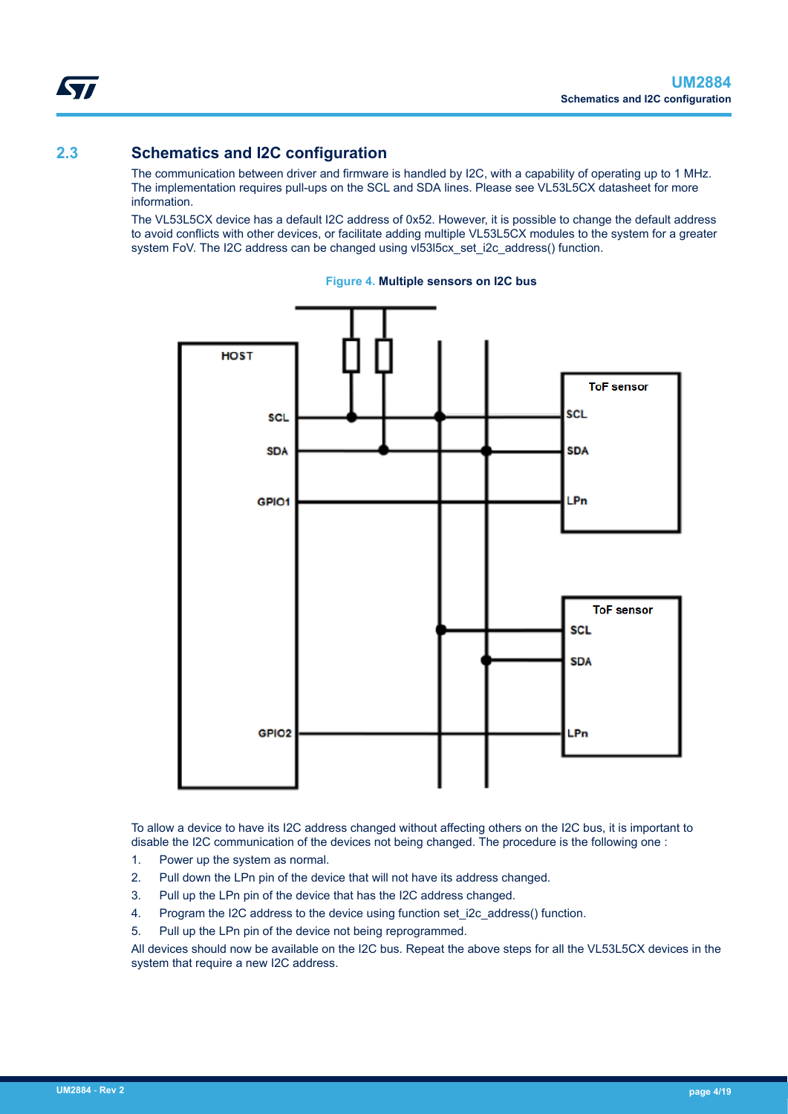<span id="page-3-0"></span>

### **2.3 Schematics and I2C configuration**

The communication between driver and firmware is handled by I2C, with a capability of operating up to 1 MHz. The implementation requires pull-ups on the SCL and SDA lines. Please see VL53L5CX datasheet for more information.

The VL53L5CX device has a default I2C address of 0x52. However, it is possible to change the default address to avoid conflicts with other devices, or facilitate adding multiple VL53L5CX modules to the system for a greater system FoV. The I2C address can be changed using vl53l5cx set i2c address() function.





To allow a device to have its I2C address changed without affecting others on the I2C bus, it is important to disable the I2C communication of the devices not being changed. The procedure is the following one :

- 1. Power up the system as normal.
- 2. Pull down the LPn pin of the device that will not have its address changed.
- 3. Pull up the LPn pin of the device that has the I2C address changed.
- 4. Program the I2C address to the device using function set i2c address() function.
- 5. Pull up the LPn pin of the device not being reprogrammed.

All devices should now be available on the I2C bus. Repeat the above steps for all the VL53L5CX devices in the system that require a new I2C address.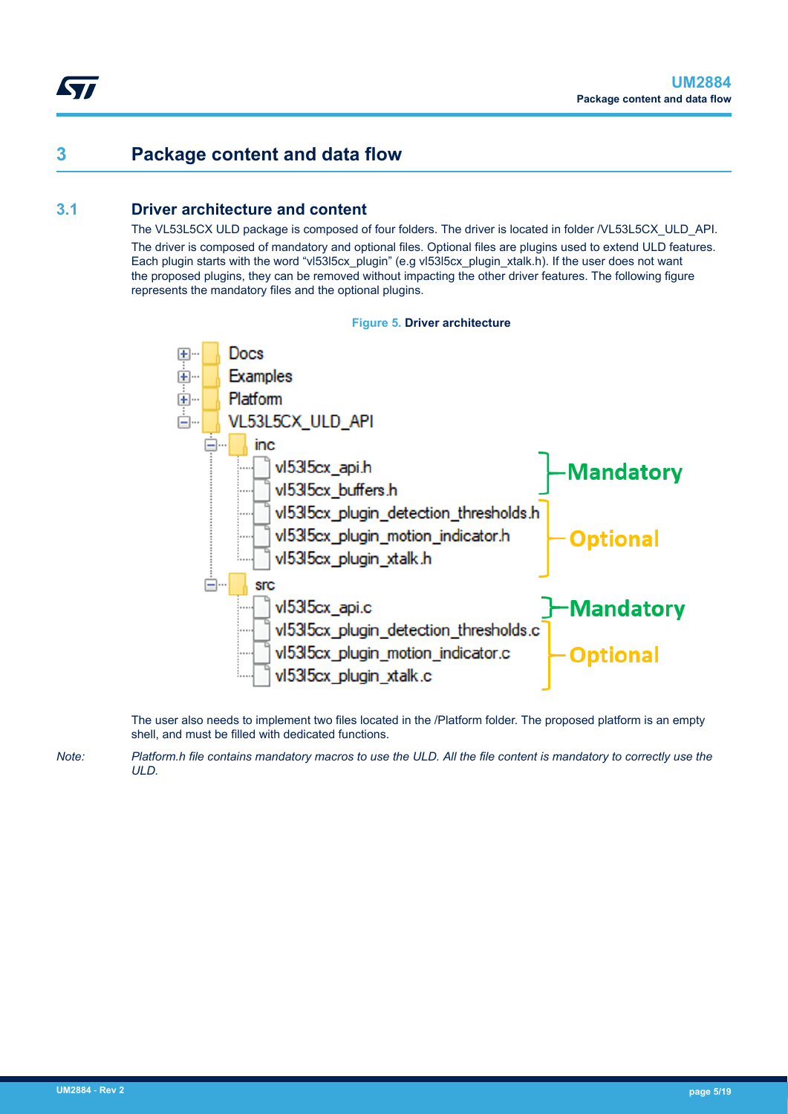### **3 Package content and data flow**

#### **3.1 Driver architecture and content**

The VL53L5CX ULD package is composed of four folders. The driver is located in folder /VL53L5CX\_ULD\_API.

The driver is composed of mandatory and optional files. Optional files are plugins used to extend ULD features. Each plugin starts with the word "vl53l5cx\_plugin" (e.g vl53l5cx\_plugin\_xtalk.h). If the user does not want the proposed plugins, they can be removed without impacting the other driver features. The following figure represents the mandatory files and the optional plugins.



The user also needs to implement two files located in the /Platform folder. The proposed platform is an empty shell, and must be filled with dedicated functions.

*Note: Platform.h file contains mandatory macros to use the ULD. All the file content is mandatory to correctly use the ULD.*

<span id="page-4-0"></span>ST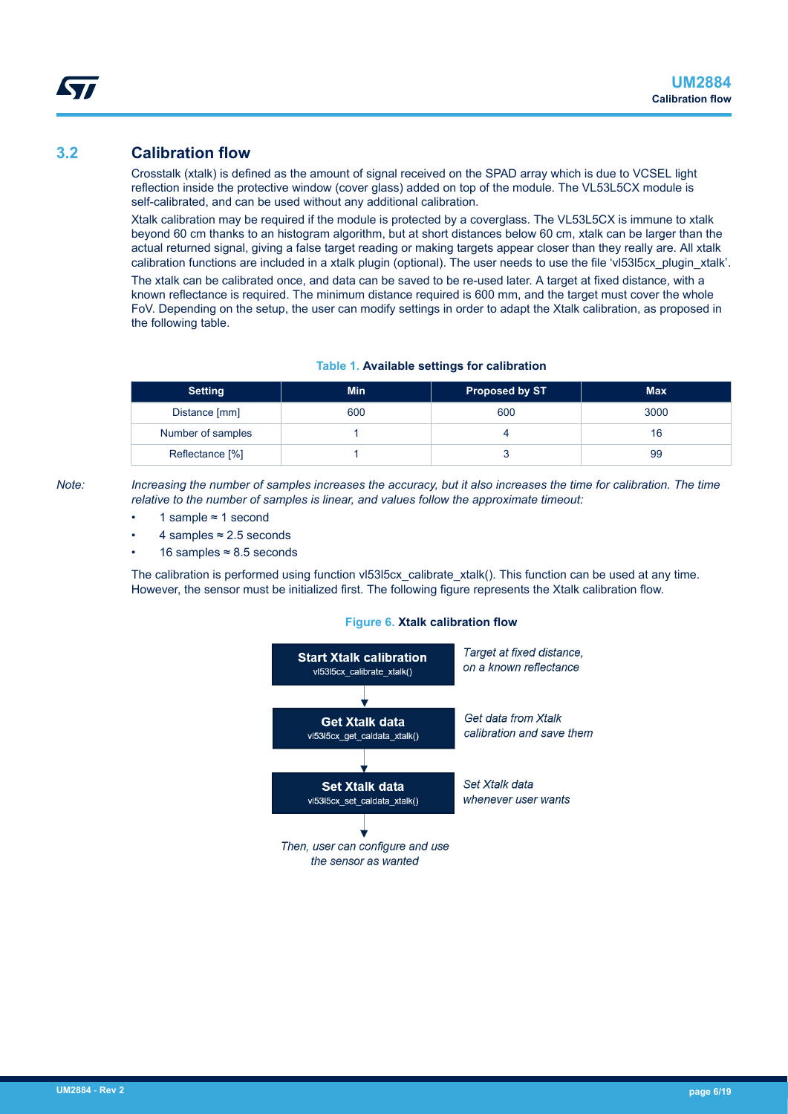#### <span id="page-5-0"></span>**3.2 Calibration flow**

Crosstalk (xtalk) is defined as the amount of signal received on the SPAD array which is due to VCSEL light reflection inside the protective window (cover glass) added on top of the module. The VL53L5CX module is self-calibrated, and can be used without any additional calibration.

Xtalk calibration may be required if the module is protected by a coverglass. The VL53L5CX is immune to xtalk beyond 60 cm thanks to an histogram algorithm, but at short distances below 60 cm, xtalk can be larger than the actual returned signal, giving a false target reading or making targets appear closer than they really are. All xtalk calibration functions are included in a xtalk plugin (optional). The user needs to use the file 'vl53l5cx\_plugin\_xtalk'.

The xtalk can be calibrated once, and data can be saved to be re-used later. A target at fixed distance, with a known reflectance is required. The minimum distance required is 600 mm, and the target must cover the whole FoV. Depending on the setup, the user can modify settings in order to adapt the Xtalk calibration, as proposed in the following table.

#### **Table 1. Available settings for calibration**

| <b>Setting</b>    | <b>Min</b> | <b>Proposed by ST</b> | <b>Max</b> |
|-------------------|------------|-----------------------|------------|
| Distance [mm]     | 600        | 600                   | 3000       |
| Number of samples |            |                       | 16         |
| Reflectance [%]   |            |                       | 99         |

*Note: Increasing the number of samples increases the accuracy, but it also increases the time for calibration. The time relative to the number of samples is linear, and values follow the approximate timeout:*

- 1 sample ≈ 1 second
- 4 samples  $\approx$  2.5 seconds
- 16 samples ≈ 8.5 seconds

The calibration is performed using function vl53l5cx calibrate xtalk(). This function can be used at any time. However, the sensor must be initialized first. The following figure represents the Xtalk calibration flow.

#### **Figure 6. Xtalk calibration flow**

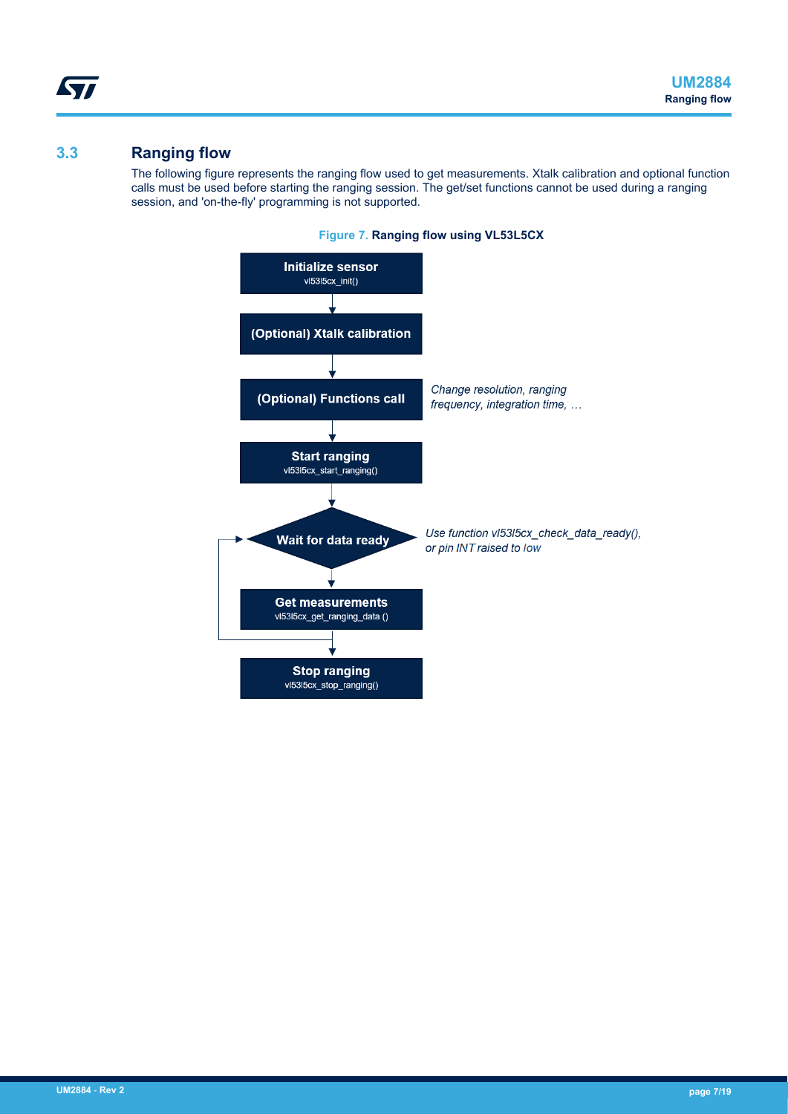#### **3.3 Ranging flow**

<span id="page-6-0"></span>*STI* 

The following figure represents the ranging flow used to get measurements. Xtalk calibration and optional function calls must be used before starting the ranging session. The get/set functions cannot be used during a ranging session, and 'on-the-fly' programming is not supported.



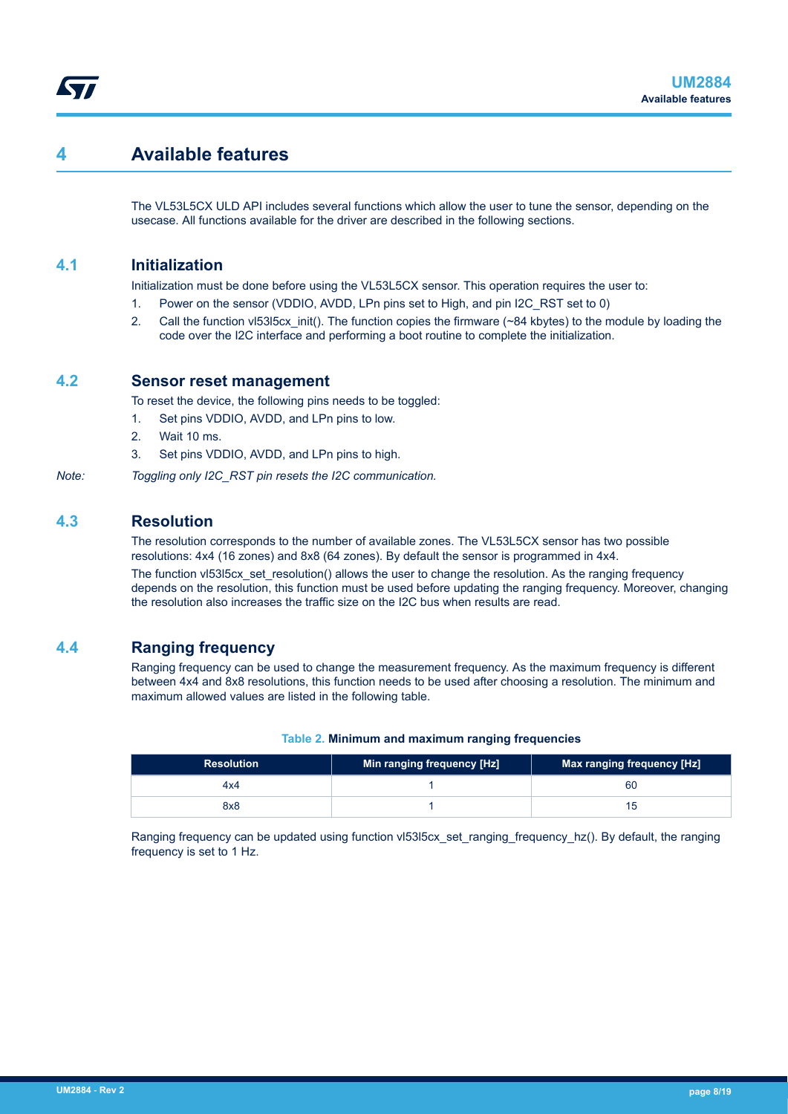### <span id="page-7-0"></span>**4 Available features**

The VL53L5CX ULD API includes several functions which allow the user to tune the sensor, depending on the usecase. All functions available for the driver are described in the following sections.

#### **4.1 Initialization**

Initialization must be done before using the VL53L5CX sensor. This operation requires the user to:

- 1. Power on the sensor (VDDIO, AVDD, LPn pins set to High, and pin I2C\_RST set to 0)
- 2. Call the function vl53l5cx init(). The function copies the firmware (~84 kbytes) to the module by loading the code over the I2C interface and performing a boot routine to complete the initialization.

#### **4.2 Sensor reset management**

To reset the device, the following pins needs to be toggled:

- 1. Set pins VDDIO, AVDD, and LPn pins to low.
- 2. Wait 10 ms.
- 3. Set pins VDDIO, AVDD, and LPn pins to high.
- *Note: Toggling only I2C\_RST pin resets the I2C communication.*

#### **4.3 Resolution**

The resolution corresponds to the number of available zones. The VL53L5CX sensor has two possible resolutions: 4x4 (16 zones) and 8x8 (64 zones). By default the sensor is programmed in 4x4.

The function vl53l5cx set resolution() allows the user to change the resolution. As the ranging frequency depends on the resolution, this function must be used before updating the ranging frequency. Moreover, changing the resolution also increases the traffic size on the I2C bus when results are read.

#### **4.4 Ranging frequency**

Ranging frequency can be used to change the measurement frequency. As the maximum frequency is different between 4x4 and 8x8 resolutions, this function needs to be used after choosing a resolution. The minimum and maximum allowed values are listed in the following table.

| <b>Resolution</b> | Min ranging frequency [Hz] | Max ranging frequency [Hz] |
|-------------------|----------------------------|----------------------------|
| 4x4               |                            | 60                         |

#### **Table 2. Minimum and maximum ranging frequencies**

Ranging frequency can be updated using function vl53l5cx set ranging frequency hz(). By default, the ranging frequency is set to 1 Hz.

8x8 1 15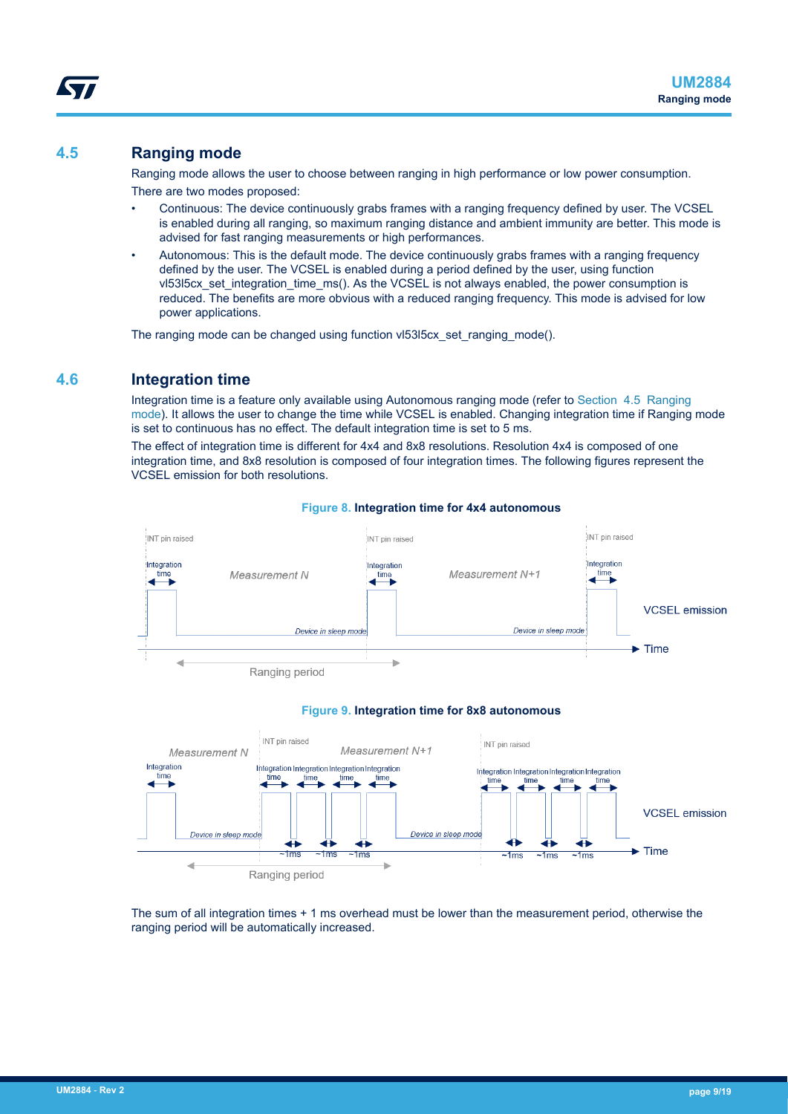#### <span id="page-8-0"></span>**4.5 Ranging mode**

Ranging mode allows the user to choose between ranging in high performance or low power consumption. There are two modes proposed:

- Continuous: The device continuously grabs frames with a ranging frequency defined by user. The VCSEL is enabled during all ranging, so maximum ranging distance and ambient immunity are better. This mode is advised for fast ranging measurements or high performances.
- Autonomous: This is the default mode. The device continuously grabs frames with a ranging frequency defined by the user. The VCSEL is enabled during a period defined by the user, using function vl53l5cx\_set\_integration\_time\_ms(). As the VCSEL is not always enabled, the power consumption is reduced. The benefits are more obvious with a reduced ranging frequency. This mode is advised for low power applications.

The ranging mode can be changed using function vl53l5cx set ranging mode().

#### **4.6 Integration time**

Integration time is a feature only available using Autonomous ranging mode (refer to Section 4.5 Ranging mode). It allows the user to change the time while VCSEL is enabled. Changing integration time if Ranging mode is set to continuous has no effect. The default integration time is set to 5 ms.

The effect of integration time is different for 4x4 and 8x8 resolutions. Resolution 4x4 is composed of one integration time, and 8x8 resolution is composed of four integration times. The following figures represent the VCSEL emission for both resolutions.



#### **Figure 8. Integration time for 4x4 autonomous**





The sum of all integration times + 1 ms overhead must be lower than the measurement period, otherwise the ranging period will be automatically increased.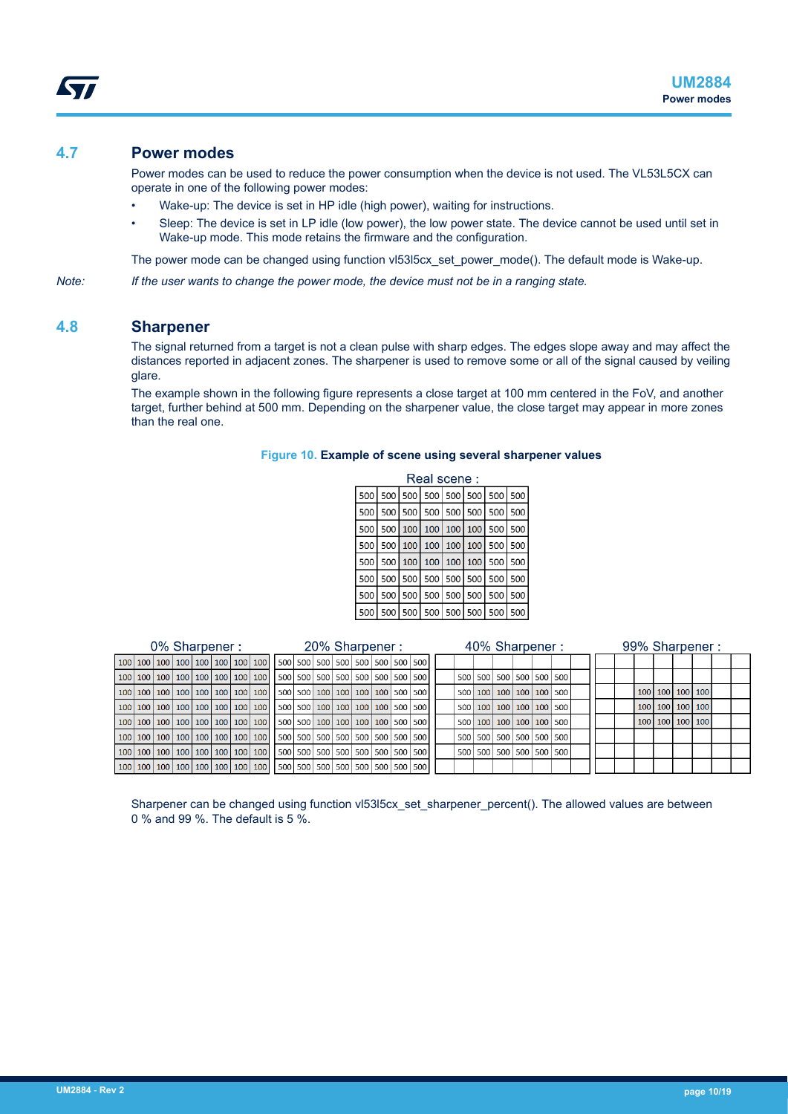#### <span id="page-9-0"></span>**4.7 Power modes**

Power modes can be used to reduce the power consumption when the device is not used. The VL53L5CX can operate in one of the following power modes:

- Wake-up: The device is set in HP idle (high power), waiting for instructions.
- Sleep: The device is set in LP idle (low power), the low power state. The device cannot be used until set in Wake-up mode. This mode retains the firmware and the configuration.

The power mode can be changed using function vl53l5cx set power mode(). The default mode is Wake-up.

*Note: If the user wants to change the power mode, the device must not be in a ranging state.*

#### **4.8 Sharpener**

The signal returned from a target is not a clean pulse with sharp edges. The edges slope away and may affect the distances reported in adjacent zones. The sharpener is used to remove some or all of the signal caused by veiling glare.

The example shown in the following figure represents a close target at 100 mm centered in the FoV, and another target, further behind at 500 mm. Depending on the sharpener value, the close target may appear in more zones than the real one.

#### **Figure 10. Example of scene using several sharpener values**

| Real scene: |                                               |  |  |  |  |                             |  |  |  |  |  |
|-------------|-----------------------------------------------|--|--|--|--|-----------------------------|--|--|--|--|--|
|             | 500   500   500   500   500   500   500   500 |  |  |  |  |                             |  |  |  |  |  |
|             | 500   500   500   500   500   500   500   500 |  |  |  |  |                             |  |  |  |  |  |
|             | 500 500 100 100 100 100 500 500               |  |  |  |  |                             |  |  |  |  |  |
| 500         |                                               |  |  |  |  | 500 100 100 100 100 500 500 |  |  |  |  |  |
| 500         |                                               |  |  |  |  | 500 100 100 100 100 500 500 |  |  |  |  |  |
| 500         |                                               |  |  |  |  | 500 500 500 500 500 500 500 |  |  |  |  |  |
| 500         |                                               |  |  |  |  | 500 500 500 500 500 500 500 |  |  |  |  |  |
|             | 500   500   500   500   500   500   500   500 |  |  |  |  |                             |  |  |  |  |  |

| 0% Sharpener : |  |  |  |  | 20% Sharpener :                                                                                     |  |  |  |  | 40% Sharpener : |  |                                   |  |  | 99% Sharpener: |  |                 |  |
|----------------|--|--|--|--|-----------------------------------------------------------------------------------------------------|--|--|--|--|-----------------|--|-----------------------------------|--|--|----------------|--|-----------------|--|
|                |  |  |  |  | 100   100   100   100   100   100   100   100   500   500   500   500   500   500   500   500       |  |  |  |  |                 |  |                                   |  |  |                |  |                 |  |
|                |  |  |  |  | 100   100   100   100   100   100   100   100   500   500   500   500   500   500   500   500   500 |  |  |  |  |                 |  | 500 500 500 500 500 500 500       |  |  |                |  |                 |  |
|                |  |  |  |  | 100   100   100   100   100   100   100   100   500   500   100   100   100   500   500   500       |  |  |  |  |                 |  | 500   100   100   100   100   500 |  |  |                |  | 100 100 100 100 |  |
|                |  |  |  |  |                                                                                                     |  |  |  |  |                 |  | 500 100 100 100 100 500           |  |  |                |  | 100 100 100 100 |  |
|                |  |  |  |  |                                                                                                     |  |  |  |  |                 |  | 500 100 100 100 100 500           |  |  |                |  | 100 100 100 100 |  |
|                |  |  |  |  |                                                                                                     |  |  |  |  |                 |  | 500 500 500 500 500 500 500       |  |  |                |  |                 |  |
|                |  |  |  |  | 100   100   100   100   100   100   100   100   500   500   500   500   500   500   500   500       |  |  |  |  |                 |  | 500 500 500 500 500 500 500       |  |  |                |  |                 |  |
|                |  |  |  |  | 100   100   100   100   100   100   100   100   500   500   500   500   500   500   500   500   500 |  |  |  |  |                 |  |                                   |  |  |                |  |                 |  |

Sharpener can be changed using function vl53l5cx set sharpener percent(). The allowed values are between 0 % and 99 %. The default is 5 %.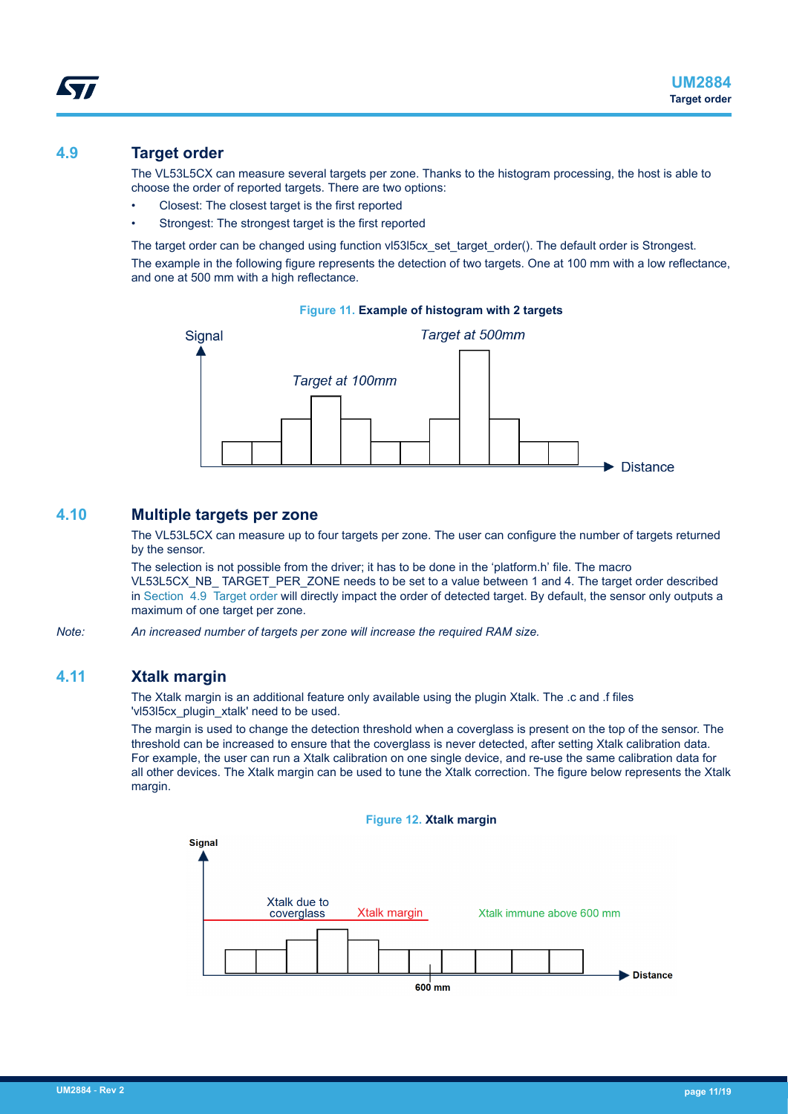<span id="page-10-0"></span>The VL53L5CX can measure several targets per zone. Thanks to the histogram processing, the host is able to choose the order of reported targets. There are two options:

- Closest: The closest target is the first reported
- Strongest: The strongest target is the first reported

The target order can be changed using function vl53l5cx\_set\_target\_order(). The default order is Strongest.

The example in the following figure represents the detection of two targets. One at 100 mm with a low reflectance, and one at 500 mm with a high reflectance.



#### **4.10 Multiple targets per zone**

The VL53L5CX can measure up to four targets per zone. The user can configure the number of targets returned by the sensor.

The selection is not possible from the driver; it has to be done in the 'platform.h' file. The macro VL53L5CX\_NB\_ TARGET\_PER\_ZONE needs to be set to a value between 1 and 4. The target order described in Section 4.9 Target order will directly impact the order of detected target. By default, the sensor only outputs a maximum of one target per zone.

*Note: An increased number of targets per zone will increase the required RAM size.*

#### **4.11 Xtalk margin**

The Xtalk margin is an additional feature only available using the plugin Xtalk. The .c and .f files 'vl53l5cx\_plugin\_xtalk' need to be used.

The margin is used to change the detection threshold when a coverglass is present on the top of the sensor. The threshold can be increased to ensure that the coverglass is never detected, after setting Xtalk calibration data. For example, the user can run a Xtalk calibration on one single device, and re-use the same calibration data for all other devices. The Xtalk margin can be used to tune the Xtalk correction. The figure below represents the Xtalk margin.

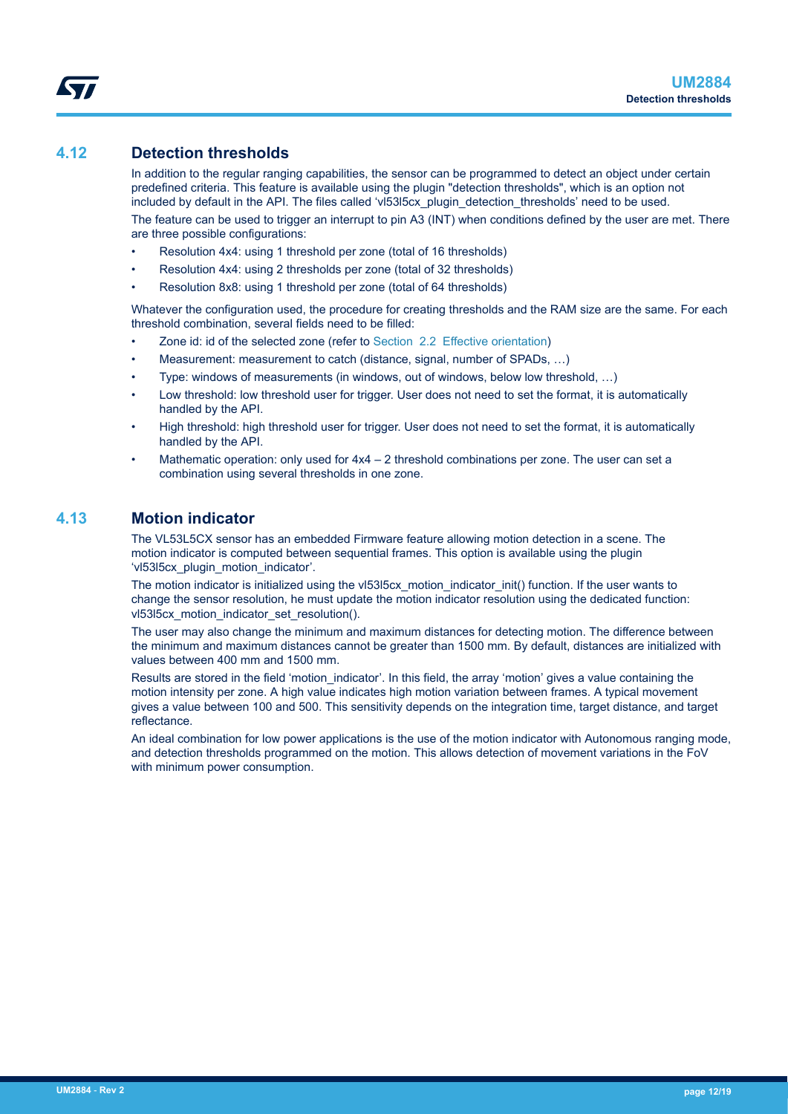#### <span id="page-11-0"></span>**4.12 Detection thresholds**

In addition to the regular ranging capabilities, the sensor can be programmed to detect an object under certain predefined criteria. This feature is available using the plugin "detection thresholds", which is an option not included by default in the API. The files called 'vl53l5cx\_plugin\_detection\_thresholds' need to be used.

The feature can be used to trigger an interrupt to pin A3 (INT) when conditions defined by the user are met. There are three possible configurations:

- Resolution 4x4: using 1 threshold per zone (total of 16 thresholds)
- Resolution 4x4: using 2 thresholds per zone (total of 32 thresholds)
- Resolution 8x8: using 1 threshold per zone (total of 64 thresholds)

Whatever the configuration used, the procedure for creating thresholds and the RAM size are the same. For each threshold combination, several fields need to be filled:

- Zone id: id of the selected zone (refer to [Section 2.2 Effective orientation](#page-2-0))
- Measurement: measurement to catch (distance, signal, number of SPADs, ...)
- Type: windows of measurements (in windows, out of windows, below low threshold, …)
- Low threshold: low threshold user for trigger. User does not need to set the format, it is automatically handled by the API.
- High threshold: high threshold user for trigger. User does not need to set the format, it is automatically handled by the API.
- Mathematic operation: only used for  $4x4 2$  threshold combinations per zone. The user can set a combination using several thresholds in one zone.

#### **4.13 Motion indicator**

The VL53L5CX sensor has an embedded Firmware feature allowing motion detection in a scene. The motion indicator is computed between sequential frames. This option is available using the plugin 'vl53l5cx\_plugin\_motion\_indicator'.

The motion indicator is initialized using the vl53l5cx motion indicator init() function. If the user wants to change the sensor resolution, he must update the motion indicator resolution using the dedicated function: vl53l5cx\_motion\_indicator\_set\_resolution().

The user may also change the minimum and maximum distances for detecting motion. The difference between the minimum and maximum distances cannot be greater than 1500 mm. By default, distances are initialized with values between 400 mm and 1500 mm.

Results are stored in the field 'motion indicator'. In this field, the array 'motion' gives a value containing the motion intensity per zone. A high value indicates high motion variation between frames. A typical movement gives a value between 100 and 500. This sensitivity depends on the integration time, target distance, and target reflectance.

An ideal combination for low power applications is the use of the motion indicator with Autonomous ranging mode, and detection thresholds programmed on the motion. This allows detection of movement variations in the FoV with minimum power consumption.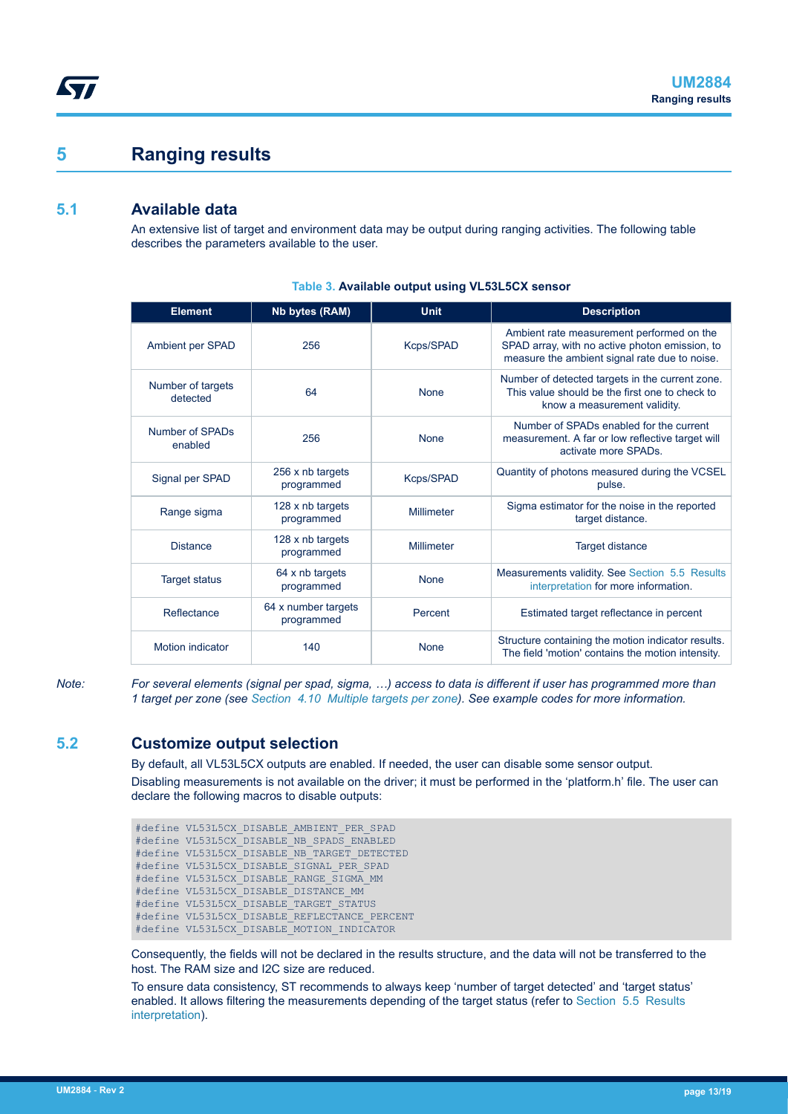### **5 Ranging results**

#### **5.1 Available data**

<span id="page-12-0"></span>ST

An extensive list of target and environment data may be output during ranging activities. The following table describes the parameters available to the user.

| <b>Element</b>                | Nb bytes (RAM)                    | <b>Unit</b> | <b>Description</b>                                                                                                                           |
|-------------------------------|-----------------------------------|-------------|----------------------------------------------------------------------------------------------------------------------------------------------|
| Ambient per SPAD              | 256                               | Kcps/SPAD   | Ambient rate measurement performed on the<br>SPAD array, with no active photon emission, to<br>measure the ambient signal rate due to noise. |
| Number of targets<br>detected | 64                                | <b>None</b> | Number of detected targets in the current zone.<br>This value should be the first one to check to<br>know a measurement validity.            |
| Number of SPADs<br>enabled    | 256                               | <b>None</b> | Number of SPADs enabled for the current<br>measurement. A far or low reflective target will<br>activate more SPADs.                          |
| Signal per SPAD               | 256 x nb targets<br>programmed    | Kcps/SPAD   | Quantity of photons measured during the VCSEL<br>pulse.                                                                                      |
| Range sigma                   | 128 x nb targets<br>programmed    | Millimeter  | Sigma estimator for the noise in the reported<br>target distance.                                                                            |
| <b>Distance</b>               | 128 x nb targets<br>programmed    | Millimeter  | <b>Target distance</b>                                                                                                                       |
| <b>Target status</b>          | 64 x nb targets<br>programmed     | <b>None</b> | Measurements validity. See Section 5.5 Results<br>interpretation for more information.                                                       |
| Reflectance                   | 64 x number targets<br>programmed | Percent     | Estimated target reflectance in percent                                                                                                      |
| <b>Motion indicator</b>       | 140                               | <b>None</b> | Structure containing the motion indicator results.<br>The field 'motion' contains the motion intensity.                                      |

#### **Table 3. Available output using VL53L5CX sensor**

*Note: For several elements (signal per spad, sigma, …) access to data is different if user has programmed more than 1 target per zone (see [Section 4.10 Multiple targets per zone\)](#page-10-0). See example codes for more information.*

#### **5.2 Customize output selection**

By default, all VL53L5CX outputs are enabled. If needed, the user can disable some sensor output. Disabling measurements is not available on the driver; it must be performed in the 'platform.h' file. The user can declare the following macros to disable outputs:

#define VL53L5CX\_DISABLE\_AMBIENT\_PER\_SPAD #define VL53L5CX\_DISABLE\_NB\_SPADS\_ENABLED #define VL53L5CX\_DISABLE\_NB\_TARGET\_DETECTED #define VL53L5CX\_DISABLE\_SIGNAL\_PER\_SPAD #define VL53L5CX\_DISABLE\_RANGE\_SIGMA\_MM #define VL53L5CX\_DISABLE\_DISTANCE\_MM #define VL53L5CX\_DISABLE\_TARGET\_STATUS #define VL53L5CX\_DISABLE\_REFLECTANCE\_PERCENT #define VL53L5CX\_DISABLE\_MOTION\_INDICATOR

Consequently, the fields will not be declared in the results structure, and the data will not be transferred to the host. The RAM size and I2C size are reduced.

To ensure data consistency, ST recommends to always keep 'number of target detected' and 'target status' enabled. It allows filtering the measurements depending of the target status (refer to [Section 5.5 Results](#page-13-0) [interpretation\)](#page-13-0).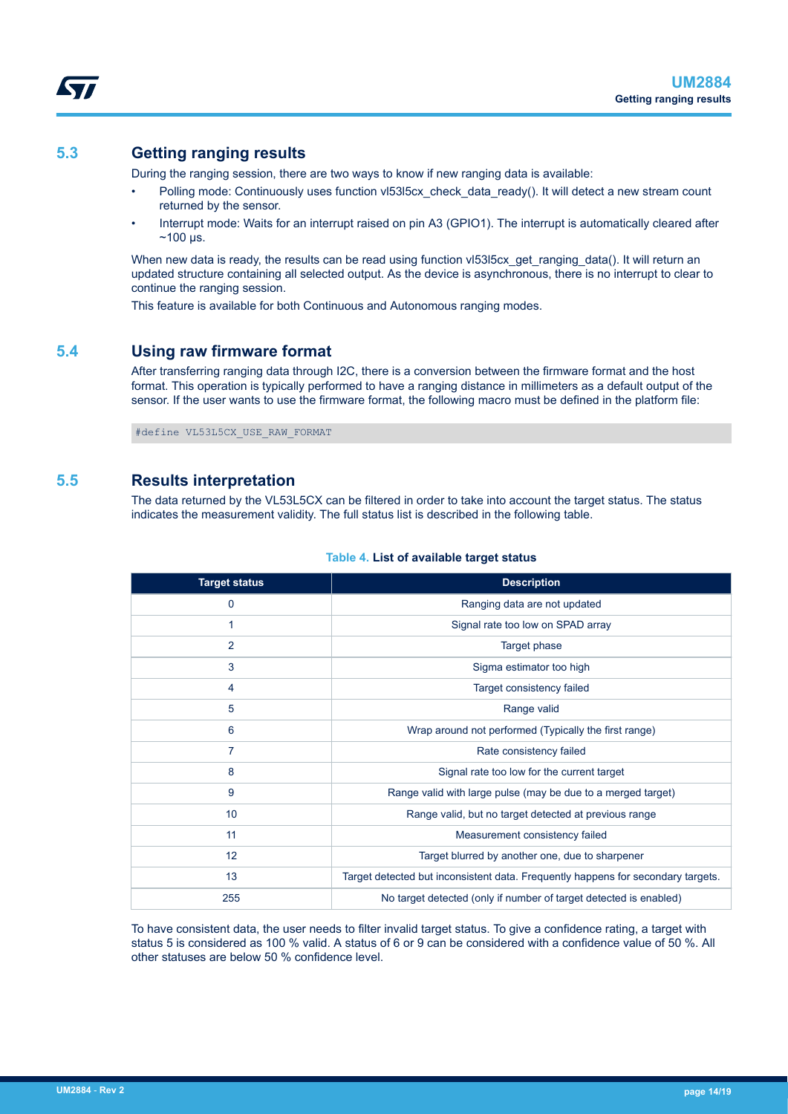#### <span id="page-13-0"></span>**5.3 Getting ranging results**

During the ranging session, there are two ways to know if new ranging data is available:

- Polling mode: Continuously uses function vl53l5cx\_check\_data\_ready(). It will detect a new stream count returned by the sensor.
- Interrupt mode: Waits for an interrupt raised on pin A3 (GPIO1). The interrupt is automatically cleared after  $~100 \,\mu s.$

When new data is ready, the results can be read using function vl53l5cx get ranging data(). It will return an updated structure containing all selected output. As the device is asynchronous, there is no interrupt to clear to continue the ranging session.

This feature is available for both Continuous and Autonomous ranging modes.

#### **5.4 Using raw firmware format**

After transferring ranging data through I2C, there is a conversion between the firmware format and the host format. This operation is typically performed to have a ranging distance in millimeters as a default output of the sensor. If the user wants to use the firmware format, the following macro must be defined in the platform file:

#define VL53L5CX\_USE\_RAW\_FORMAT

#### **5.5 Results interpretation**

The data returned by the VL53L5CX can be filtered in order to take into account the target status. The status indicates the measurement validity. The full status list is described in the following table.

| <b>Target status</b> | <b>Description</b>                                                               |
|----------------------|----------------------------------------------------------------------------------|
| 0                    | Ranging data are not updated                                                     |
| 1                    | Signal rate too low on SPAD array                                                |
| $\overline{2}$       | Target phase                                                                     |
| 3                    | Sigma estimator too high                                                         |
| 4                    | Target consistency failed                                                        |
| 5                    | Range valid                                                                      |
| 6                    | Wrap around not performed (Typically the first range)                            |
| 7                    | Rate consistency failed                                                          |
| 8                    | Signal rate too low for the current target                                       |
| 9                    | Range valid with large pulse (may be due to a merged target)                     |
| 10 <sup>1</sup>      | Range valid, but no target detected at previous range                            |
| 11                   | Measurement consistency failed                                                   |
| 12                   | Target blurred by another one, due to sharpener                                  |
| 13                   | Target detected but inconsistent data. Frequently happens for secondary targets. |
| 255                  | No target detected (only if number of target detected is enabled)                |

#### **Table 4. List of available target status**

To have consistent data, the user needs to filter invalid target status. To give a confidence rating, a target with status 5 is considered as 100 % valid. A status of 6 or 9 can be considered with a confidence value of 50 %. All other statuses are below 50 % confidence level.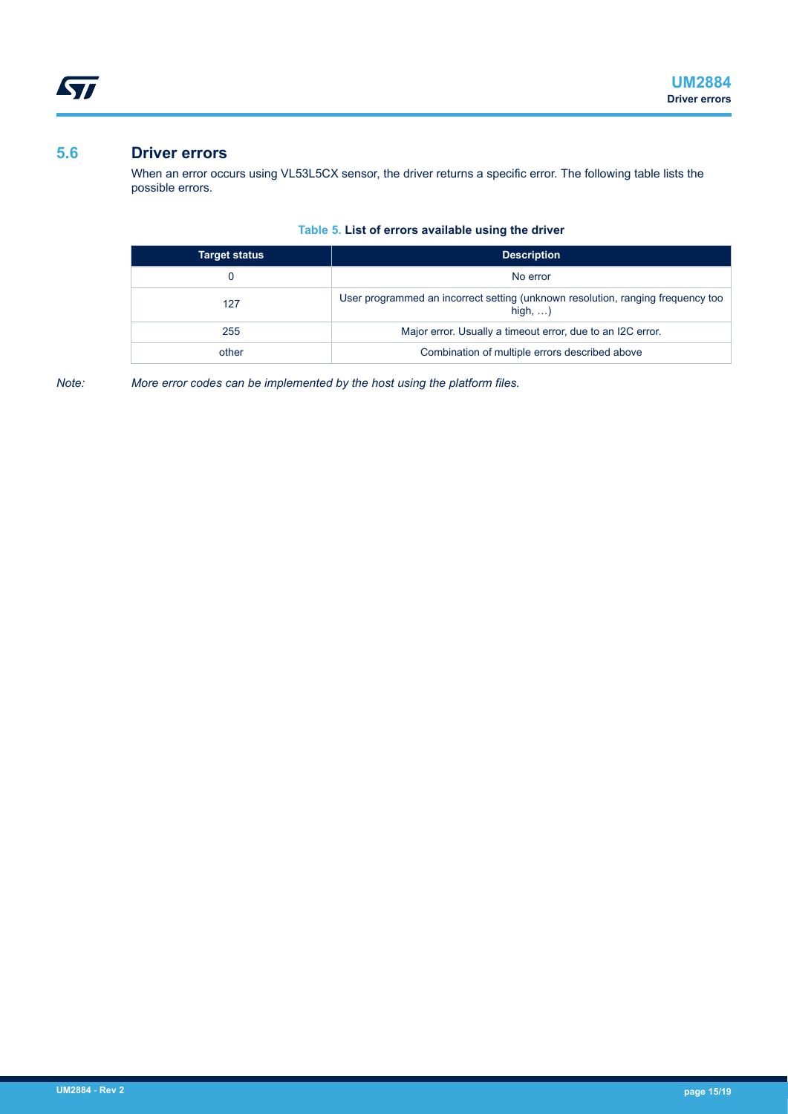#### <span id="page-14-0"></span>**5.6 Driver errors**

When an error occurs using VL53L5CX sensor, the driver returns a specific error. The following table lists the possible errors.

#### **Table 5. List of errors available using the driver**

| <b>Target status</b> | <b>Description</b>                                                                                 |
|----------------------|----------------------------------------------------------------------------------------------------|
| O                    | No error                                                                                           |
| 127                  | User programmed an incorrect setting (unknown resolution, ranging frequency too<br>high, $\dots$ ) |
| 255                  | Major error. Usually a timeout error, due to an I2C error.                                         |
| other                | Combination of multiple errors described above                                                     |

*Note: More error codes can be implemented by the host using the platform files.*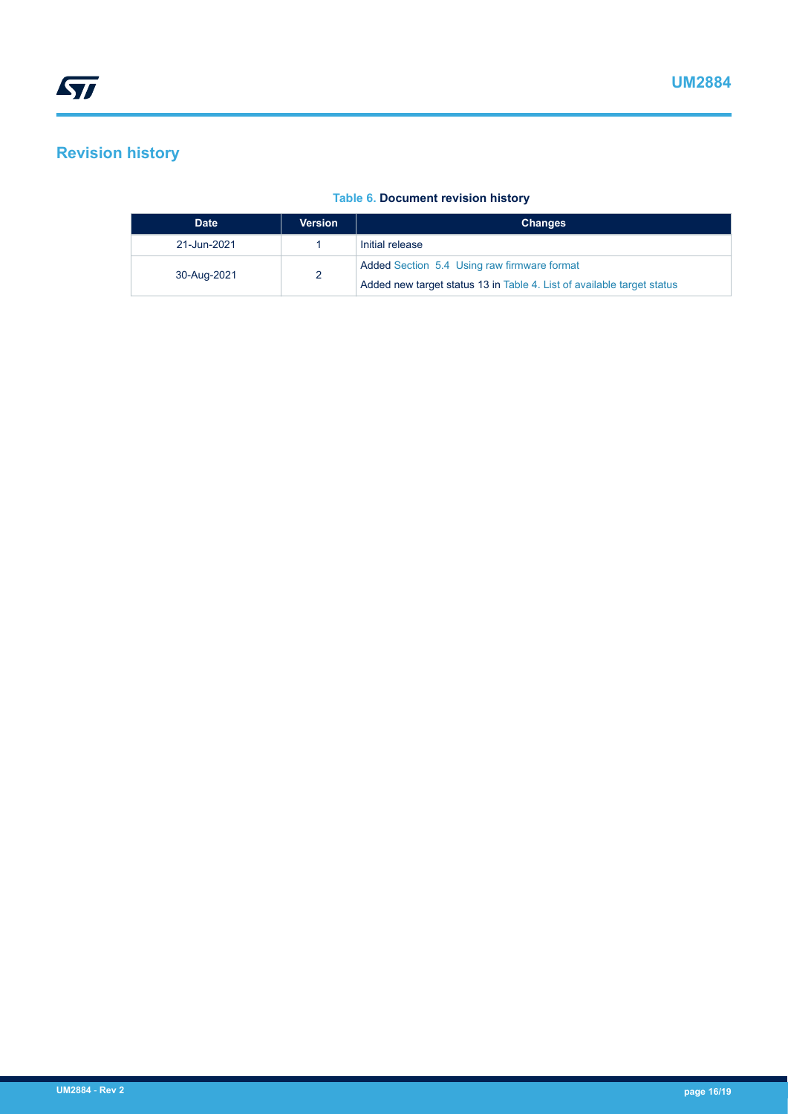### <span id="page-15-0"></span>**Revision history**

| <b>Date</b> | <b>Version</b> | <b>Changes</b>                                                         |
|-------------|----------------|------------------------------------------------------------------------|
| 21-Jun-2021 |                | Initial release                                                        |
| 30-Aug-2021 |                | Added Section 5.4 Using raw firmware format                            |
|             |                | Added new target status 13 in Table 4. List of available target status |

#### **Table 6. Document revision history**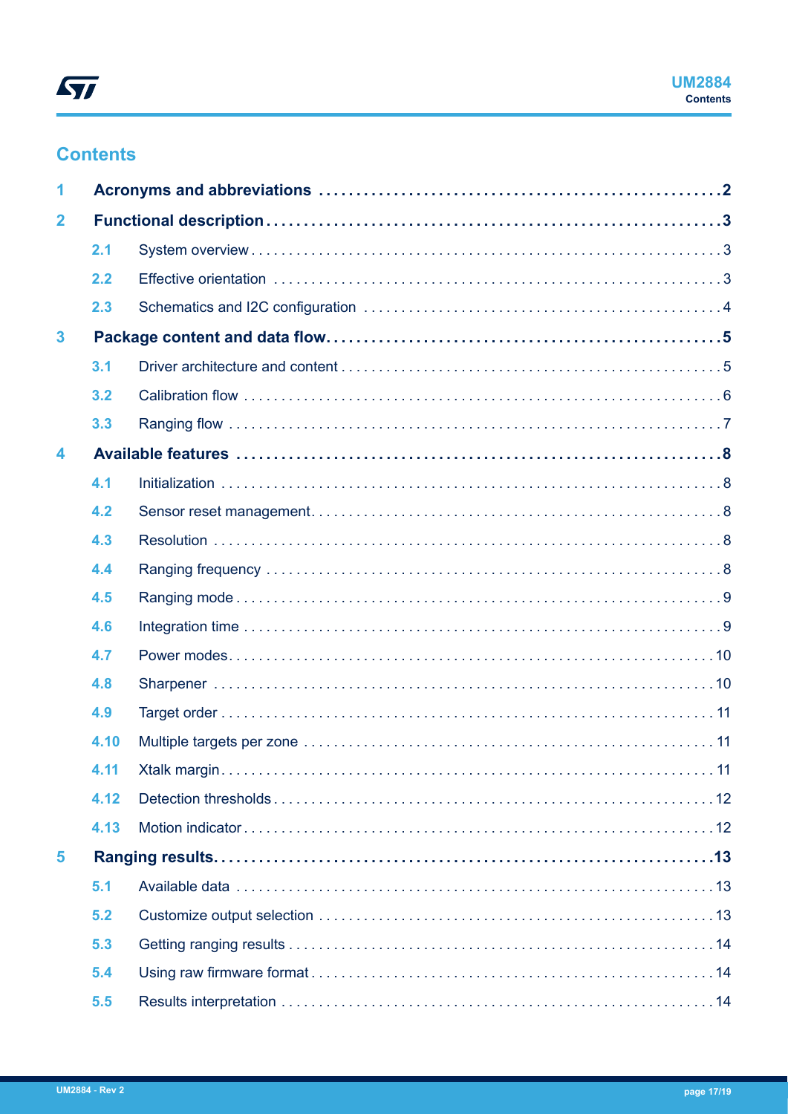### <span id="page-16-0"></span>**Contents**

| 1                       |      |  |
|-------------------------|------|--|
| $\overline{\mathbf{2}}$ |      |  |
|                         | 2.1  |  |
|                         | 2.2  |  |
|                         | 2.3  |  |
| $\overline{\mathbf{3}}$ |      |  |
|                         | 3.1  |  |
|                         | 3.2  |  |
|                         | 3.3  |  |
| 4                       |      |  |
|                         | 4.1  |  |
|                         | 4.2  |  |
|                         | 4.3  |  |
|                         | 4.4  |  |
|                         | 4.5  |  |
|                         | 4.6  |  |
|                         | 4.7  |  |
|                         | 4.8  |  |
|                         | 4.9  |  |
|                         | 4.10 |  |
|                         | 4.11 |  |
|                         | 4.12 |  |
|                         | 4.13 |  |
| 5                       |      |  |
|                         | 5.1  |  |
|                         | 5.2  |  |
|                         | 5.3  |  |
|                         | 5.4  |  |
|                         | 5.5  |  |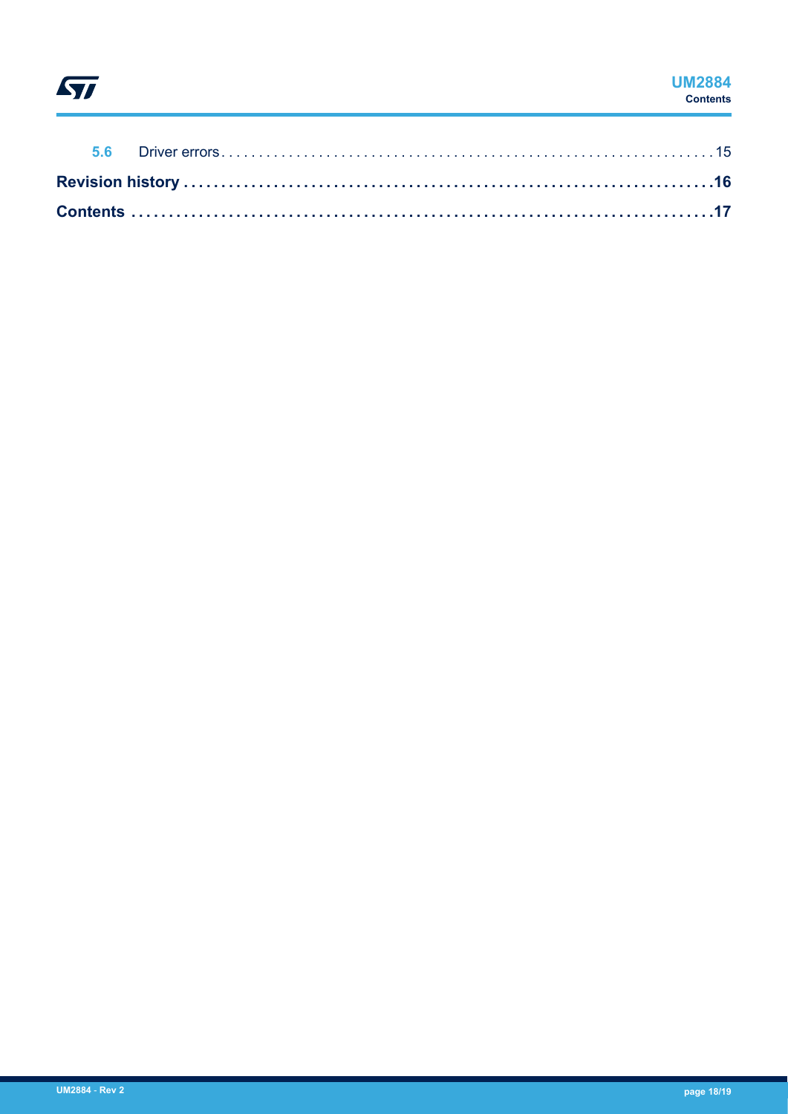# $\sqrt{2}$

#### **UM2884 Contents**